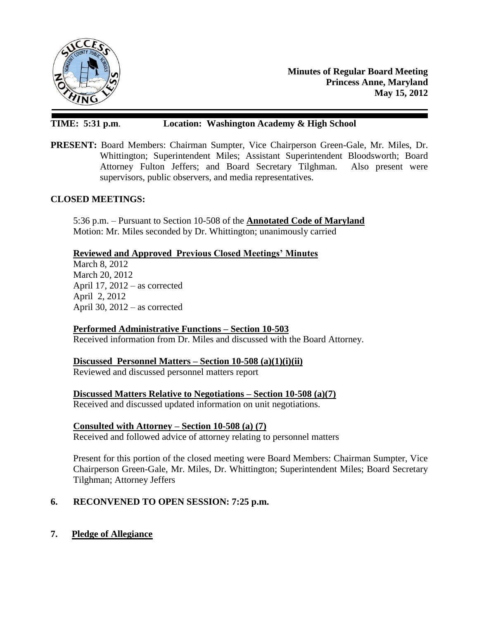

**Minutes of Regular Board Meeting Princess Anne, Maryland May 15, 2012**

### **TIME: 5:31 p.m**. **Location: Washington Academy & High School**

**PRESENT:** Board Members: Chairman Sumpter, Vice Chairperson Green-Gale, Mr. Miles, Dr. Whittington; Superintendent Miles; Assistant Superintendent Bloodsworth; Board Attorney Fulton Jeffers; and Board Secretary Tilghman. Also present were supervisors, public observers, and media representatives.

#### **CLOSED MEETINGS:**

5:36 p.m. – Pursuant to Section 10-508 of the **Annotated Code of Maryland** Motion: Mr. Miles seconded by Dr. Whittington; unanimously carried

### **Reviewed and Approved Previous Closed Meetings' Minutes**

March 8, 2012 March 20, 2012 April 17, 2012 – as corrected April 2, 2012 April 30, 2012 – as corrected

### **Performed Administrative Functions – Section 10-503**

Received information from Dr. Miles and discussed with the Board Attorney.

### **Discussed Personnel Matters – Section 10-508 (a)(1)(i)(ii)**

Reviewed and discussed personnel matters report

**Discussed Matters Relative to Negotiations – Section 10-508 (a)(7)**

Received and discussed updated information on unit negotiations.

### **Consulted with Attorney – Section 10-508 (a) (7)**

Received and followed advice of attorney relating to personnel matters

Present for this portion of the closed meeting were Board Members: Chairman Sumpter, Vice Chairperson Green-Gale, Mr. Miles, Dr. Whittington; Superintendent Miles; Board Secretary Tilghman; Attorney Jeffers

### **6. RECONVENED TO OPEN SESSION: 7:25 p.m.**

**7. Pledge of Allegiance**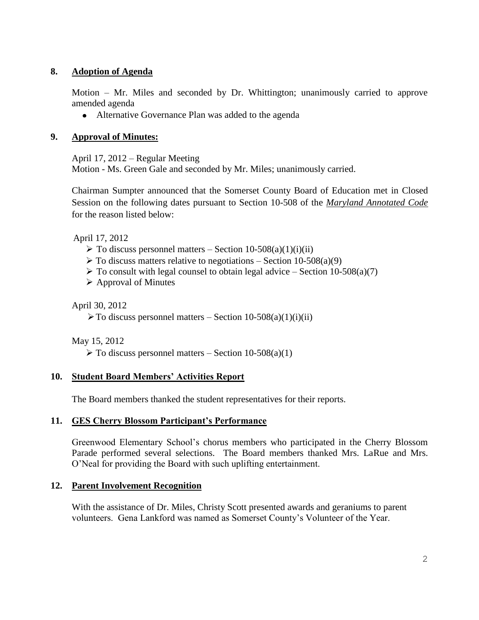## **8. Adoption of Agenda**

Motion – Mr. Miles and seconded by Dr. Whittington; unanimously carried to approve amended agenda

 $\bullet$ Alternative Governance Plan was added to the agenda

## **9. Approval of Minutes:**

April 17, 2012 – Regular Meeting Motion - Ms. Green Gale and seconded by Mr. Miles; unanimously carried.

Chairman Sumpter announced that the Somerset County Board of Education met in Closed Session on the following dates pursuant to Section 10-508 of the *Maryland Annotated Code* for the reason listed below:

April 17, 2012

- $\triangleright$  To discuss personnel matters Section 10-508(a)(1)(i)(ii)
- $\triangleright$  To discuss matters relative to negotiations Section 10-508(a)(9)
- $\triangleright$  To consult with legal counsel to obtain legal advice Section 10-508(a)(7)
- $\triangleright$  Approval of Minutes

April 30, 2012

 $\triangleright$  To discuss personnel matters – Section 10-508(a)(1)(i)(ii)

May 15, 2012

 $\triangleright$  To discuss personnel matters – Section 10-508(a)(1)

# **10. Student Board Members' Activities Report**

The Board members thanked the student representatives for their reports.

## **11. GES Cherry Blossom Participant's Performance**

Greenwood Elementary School's chorus members who participated in the Cherry Blossom Parade performed several selections. The Board members thanked Mrs. LaRue and Mrs. O'Neal for providing the Board with such uplifting entertainment.

## **12. Parent Involvement Recognition**

With the assistance of Dr. Miles, Christy Scott presented awards and geraniums to parent volunteers. Gena Lankford was named as Somerset County's Volunteer of the Year.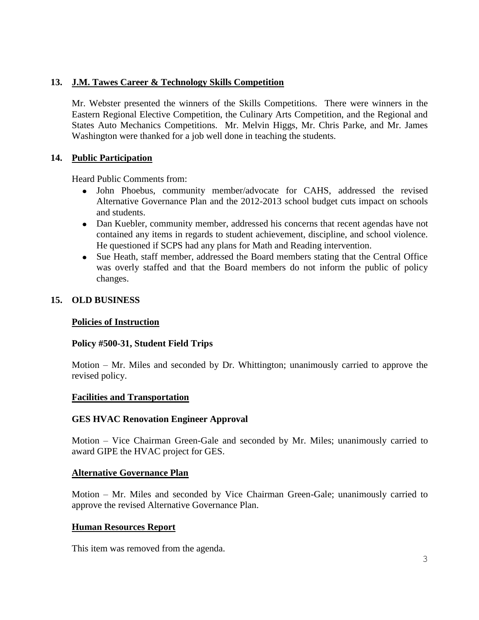## **13. J.M. Tawes Career & Technology Skills Competition**

Mr. Webster presented the winners of the Skills Competitions. There were winners in the Eastern Regional Elective Competition, the Culinary Arts Competition, and the Regional and States Auto Mechanics Competitions. Mr. Melvin Higgs, Mr. Chris Parke, and Mr. James Washington were thanked for a job well done in teaching the students.

## **14. Public Participation**

Heard Public Comments from:

- John Phoebus, community member/advocate for CAHS, addressed the revised Alternative Governance Plan and the 2012-2013 school budget cuts impact on schools and students.
- Dan Kuebler, community member, addressed his concerns that recent agendas have not contained any items in regards to student achievement, discipline, and school violence. He questioned if SCPS had any plans for Math and Reading intervention.
- Sue Heath, staff member, addressed the Board members stating that the Central Office was overly staffed and that the Board members do not inform the public of policy changes.

## **15. OLD BUSINESS**

## **Policies of Instruction**

## **Policy #500-31, Student Field Trips**

Motion – Mr. Miles and seconded by Dr. Whittington; unanimously carried to approve the revised policy.

### **Facilities and Transportation**

### **GES HVAC Renovation Engineer Approval**

Motion – Vice Chairman Green-Gale and seconded by Mr. Miles; unanimously carried to award GIPE the HVAC project for GES.

### **Alternative Governance Plan**

Motion – Mr. Miles and seconded by Vice Chairman Green-Gale; unanimously carried to approve the revised Alternative Governance Plan.

## **Human Resources Report**

This item was removed from the agenda.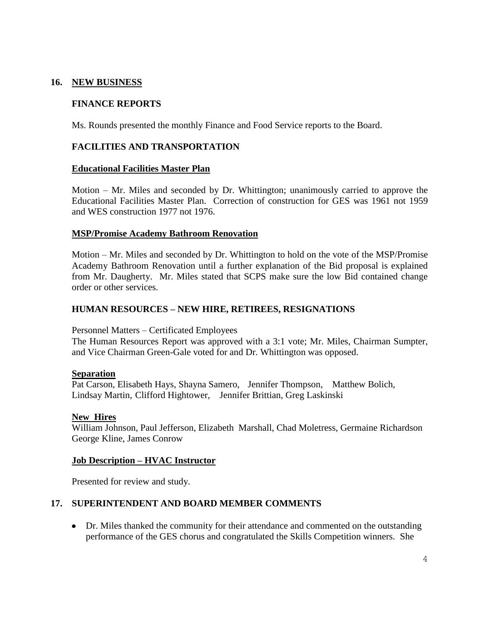### **16. NEW BUSINESS**

## **FINANCE REPORTS**

Ms. Rounds presented the monthly Finance and Food Service reports to the Board.

### **FACILITIES AND TRANSPORTATION**

#### **Educational Facilities Master Plan**

Motion – Mr. Miles and seconded by Dr. Whittington; unanimously carried to approve the Educational Facilities Master Plan. Correction of construction for GES was 1961 not 1959 and WES construction 1977 not 1976.

#### **MSP/Promise Academy Bathroom Renovation**

Motion – Mr. Miles and seconded by Dr. Whittington to hold on the vote of the MSP/Promise Academy Bathroom Renovation until a further explanation of the Bid proposal is explained from Mr. Daugherty. Mr. Miles stated that SCPS make sure the low Bid contained change order or other services.

#### **HUMAN RESOURCES – NEW HIRE, RETIREES, RESIGNATIONS**

Personnel Matters – Certificated Employees

The Human Resources Report was approved with a 3:1 vote; Mr. Miles, Chairman Sumpter, and Vice Chairman Green-Gale voted for and Dr. Whittington was opposed.

#### **Separation**

Pat Carson, Elisabeth Hays, Shayna Samero, Jennifer Thompson, Matthew Bolich, Lindsay Martin, Clifford Hightower, Jennifer Brittian, Greg Laskinski

#### **New Hires**

William Johnson, Paul Jefferson, Elizabeth Marshall, Chad Moletress, Germaine Richardson George Kline, James Conrow

#### **Job Description – HVAC Instructor**

Presented for review and study.

### **17. SUPERINTENDENT AND BOARD MEMBER COMMENTS**

• Dr. Miles thanked the community for their attendance and commented on the outstanding performance of the GES chorus and congratulated the Skills Competition winners. She